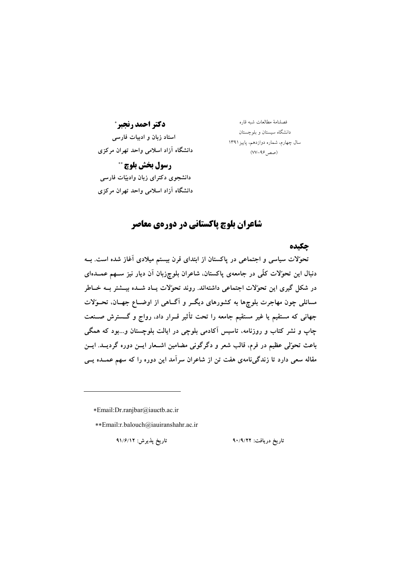دكتر احمد رنجبر\* استاد زبان و ادبیات فارسی دانشگاه آزاد اسلامی واحد تهران مرکزی رسول بخش بلوچ \*\*

دانشجوی دکترای زبان وادبیّات فارسی

فصلنامهٔ مطالعات شبه قاره دانشگاه سیستان و بلوچستان سال چهارم، شماره دوازدهم، پاییز ۱۳۹۱  $(VV-99)$ صص

دانشگاه آزاد اسلامی واحد تهران مرکزی

## شاعران بلوچ پاکستانی در دورهی معاصر

جكىدە

تحوّلات سیاسی و اجتماعی در پاکستان از ابتدای قرن بیستم میلادی آغاز شده است. بــه دنبال این تحوّلات کلّی در جامعهی پاکستان، شاعران بلوچزبان آن دیار نیز ســهم عمــدهای در شکل گیری این تحوّلات اجتماعی داشتهاند. روند تحوّلات پــاد شــده بیــشتر بــه خــاطر مسائلی چون مهاجرت بلوچها به کشورهای دیگـر و آگــاهی از اوضــاع جهــان، تحــوُلات جهانی که مستقیم یا غیر مستقیم جامعه را تحت تأثیر قــرار داد، رواج و گـــسترش صــنعت چاپ و نشر کتاب و روزنامه، تاسیس آکادمی بلوچی در ایالت بلوچستان و…بود که همگی باعث تحوّلي عظيم در فرم، قالب شعر و دگرگوني مضامين اشــعار ايــن دوره گرديــد. ايــن مقاله سعی دارد تا زندگیiامهی هفت تن از شاعران سرآمد این دوره را که سهم عمــده یــی

\*Email:Dr.ranjbar@iauctb.ac.ir

\*\*Email:r.balouch@iauiranshahr.ac.ir

تاريخ دريافت: ٩٠/٩/٢٢

تاريخ پذيرش: ٩١/۶/١٢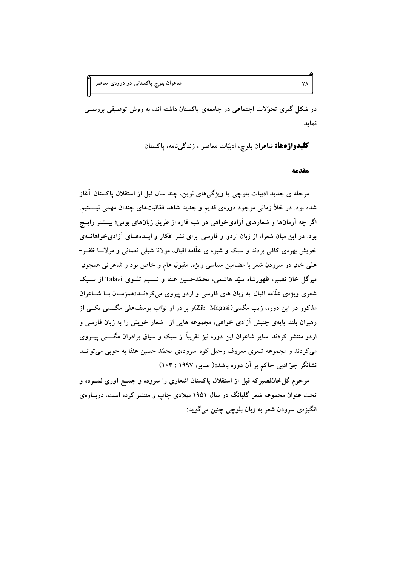در شکل گیری تحوّلات اجتماعی در جامعهی پاکستان داشته اند، به روش توصیفی بررســی نمايد.

**كليدواژهها:** شاعران بلوچ، ادبيّات معاصر ، زندگ<sub>ى</sub>نامه، پاكستان

مقدمه

٧٨

مرحله ی جدید ادبیات بلوچی با ویژگیهای نوین، چند سال قبل از استقلال پاکستان آغاز شده بود. در خلأ زمانی موجود دورهی قدیم و جدید شاهد فعّالیتهای چندان مهمی نیـــستیم. اگر چه آرمانها و شعارهای آزادیخواهی در شبه قاره از طریق زبانهای بومی؛ بیــشتر رایــج بود. در این میان شعرا، از زبان اردو و فارسی برای نشر افکار و ایــدههــای آزادیخواهانــهی خویش بهرهی کافی بردند و سبک و شیوه ی علّامه اقبال، مولانا شبلی نعمانی و مولانــا ظفــر-علمی خان در سرودن شعر با مضامین سیاسی ویژه، مقبول عام و خاص بود و شاعرانی همچون میرگل خان نصیر، ظهورشاه سیّد هاشمی، محمّدحسین عنقا و نــسیم تلــوی Talavi از ســبک شعری ویژهی علّامه اقبال به زبان های فارسی و اردو پیروی میکردنــد«همزمــان بــا شــاعران مذکور در این دوره، زیب مگسی(Zib Magasi)و برادر او نواب یوسفعلی مگــسی یکــی از رهبران بلند پایهی جنبش آزادی خواهی، مجموعه هایی از ا شعار خویش را به زبان فارسی و اردو منتشر کردند. سایر شاعران این دوره نیز تقریباً از سبک و سیاق برادران مگــسی پیــروی می کردند و مجموعه شعری معروف رحیل کوه سرودهی محمّد حسین عنقا به خوبی می توانــد نشانگر جو ّادبی حاکم بر آن دوره باشد»( صابر، ۱۹۹۷ : ۱۰۳)

مرحوم گل خاننصیرکه قبل از استقلال پاکستان اشعاری را سروده و جمـع آوری نمــوده و تحت عنوان مجموعه شعر گلبانگ در سال ۱۹۵۱ میلادی چاپ و منتشر کرده است، دربـارهی انگيزهي سرودن شعر به زبان بلوچي چنين مي گويد: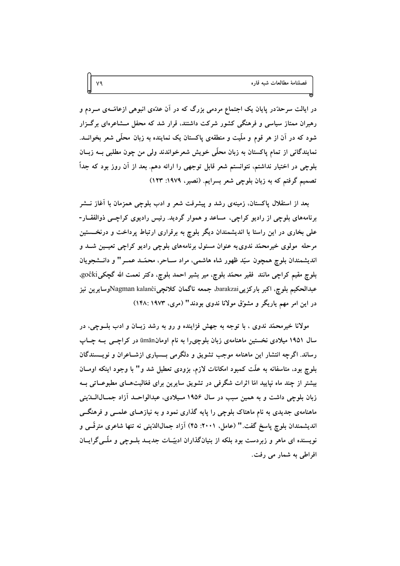در ایالت سرحدّدر پایان یک اجتماع مردمی بزرگ که در آن عدّهی انبوهی ازعامّــهی مــردم و رهبران ممتاز سیاسی و فرهنگی کشور شرکت داشتند، قرار شد که محفل مــشاعرهای برگــزار شود که در آن از هر قوم و ملّیت و منطقهی پاکستان یک نماینده به زبان محلّی شعر بخوانــد. نمایندگانی از تمام پاکستان به زبان محلّی خویش شعرخواندند ولی من چون مطلبی بــه زبــان بلوچی در اختیار نداشتم، نتوانستم شعر قابل توجهی را ارائه دهم. بعد از آن روز بود که جداً تصمیم گرفتم که به زبان بلوچی شعر بسرایم. (نصیر، ۱۹۷۹: ۱۲۳)

٧٩

بعد از استقلال پاکستان، زمینهی رشد و پیشرفت شعر و ادب بلوچی همزمان با آغاز نـــشر برنامههای بلوچی از رادیو کراچی، مساعد و هموار گردید. رئیس رادیوی کراچے ذوالفقــار-علمی بخاری در این راستا با اندیشمندان دیگر بلوچ به برقراری ارتباط پرداخت و درنخــستین مرحله ًمولوی خیرمحمّد ندوی به عنوان مسئول برنامههای بلوچی رادیو کراچی تعیــین شــد و اندیشمندان بلوچ همچون سیّد ظهور شاه هاشمی، مراد ســاحر، محمّــد عمــر " و دانــشجویان بلوچ مقيم كراچي مانند فقير محمّد بلوچ، مير بشير احمد بلوچ، دكتر نعمت الله گچكيgoĉki، عبدالحكيم بلوچ، اكبر باركزييbarakzai، جمعه ناگمان كلانچيKagman kalanĉi،وسايرين نيز در این امر مهم یاریگر و مشوّق مولانا ندوی بودند" (مری، ۱۹۷۳: ۱۴۸:

مولانا خیرمحمّد ندوی ، با توجه به جهش فزاینده و رو به رشد زبـان و ادب بلــوچی، در سال ۱۹۵۱ میلادی نخستین ماهنامهی زبان بلوچی,را به نام اومانmān در کراچـبی بــه چــاپ رساند. اگرچه انتشار این ماهنامه موجب تشویق و دلگرمی بـسیاری ازشـاعران و نویـسندگان بلوچ بود، متاسفانه به علَّت کمبود امکانات لازم، بزودی تعطیل شد و" با وجود اینکه اومــان بیشتر از چند ماه نیایید امّا اثرات شگرفی در تشویق سایرین برای فعّالیتهـای مطبوعــاتی بــه زبان بلوچی داشت و به همین سبب در سال ۱۹۵۶ مـیلادی، عبدالواحــد آزاد جمــال|لــدّینی ماهنامهی جدیدی به نام ماهتاک بلوچی را پایه گذاری نمود و به نیازهـای علمــی و فرهنگــی اندیشمندان بلوچ پاسخ گفت." (عامل، ۲۰۰۱: ۴۵) آزاد جمال(الدّینی نه تنها شاعری مترقّسی و نویسنده ای ماهر و زبردست بود بلکه از بنیانگذاران ادبیّــات جدیــد بلــوچی و ملّــیگرایــان افراطی به شمار می رفت.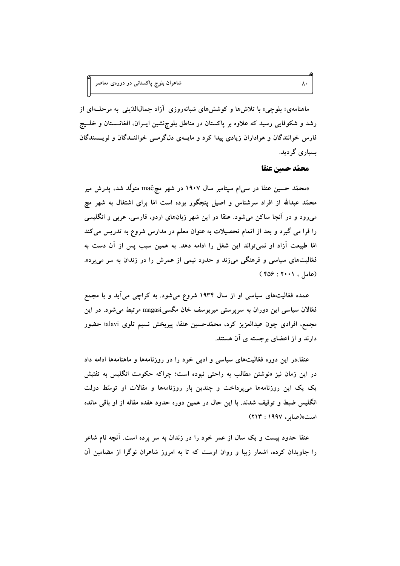ماهنامهی« بلوچی» با تلاشها و کوششهای شبانهروزی آزاد جمالاالدّینی به مرحلـهای از رشد و شکوفایی رسید که علاوه بر پاکستان در مناطق بلوچنشین ایسران، افغانسستان و خلسیج فارس خوانندگان و هواداران زیادی پیدا کرد و مایــهی دل\$رمــی خواننــدگان و نویــسندگان ىسبارى گردىد.

محمّد حسين عنقا

 $\lambda$  .

«محمّد حسین عنقا در سی|م سپتامبر سال ۱۹۰۷ در شهر مچ@ma متولّد شد، پدرش میر محمّد عبدالله از افراد سرشناس و اصیل پنجگور بوده است امّا برای اشتغال به شهر مچ میرود و در آنجا ساکن میشود. عنقا در این شهر زبانهای اردو، فارسی، عربی و انگلیسی را فرا می گیرد و بعد از اتمام تحصیلات به عنوان معلم در مدارس شروع به تدریس می کند امّا طبیعت آزاد او نمی تواند این شغل را ادامه دهد. به همین سبب پس از آن دست به فعّالیتهای سیاسی و فرهنگی میزند و حدود نیمی از عمرش را در زندان به سر میبرد». (عامل ، ۲۰۰۱ : ۴۵۶ )

عمده فعّالیتهای سیاسی او از سال ۱۹۳۴ شروع میشود. به کراچی میآید و با مجمع فعّالان سیاسی این دوران به سرپرستی میریوسف خان مگسیZmagasi مرتبط میشود. در این مجمع، افرادی چون عبدالعزیز کرد، محمّدحسین عنقا، پیربخش نسیم تلوی talavi حضور دارند و از اعضای برجسته ی آن هستند.

عنقا،در این دوره فعّالیتهای سیاسی و ادبی خود را در روزنامهها و ماهنامهها ادامه داد در این زمان نیز «نوشتن مطالب به راحتی نبوده است؛ چراکه حکومت انگلیس به تفتیش یک یک این روزنامهها میپرداخت و چندین بار روزنامهها و مقالات او توسّط دولت انگلیس ضبط و توقیف شدند. با این حال در همین دوره حدود هفده مقاله از او باقی مانده است» (صابر، ۱۹۹۷: ۲۱۳)

عنقا حدود بیست و یک سال از عمر خود را در زندان به سر برده است. آنچه نام شاعر را جاویدان کرده، اشعار زیبا و روان اوست که تا به امروز شاعران نوگرا از مضامین آن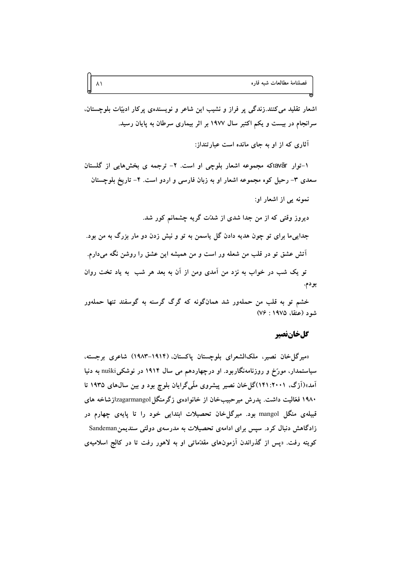اشعار تقلید میکنند.زندگی پر فراز و نشیب این شاعر و نویسندهی پرکار ادبیّات بلوچستان، سرانجام در بیست و یکم اکتبر سال ۱۹۷۷ بر اثر بیماری سرطان به پایان رسید.

آثاری که از او به جای مانده است عبار تنداز:

۱-توار tavārكه مجموعه اشعار بلوچی او است. ۲- ترجمه ی بخشهایی از گلستان سعدی ۳- رحیل کوه مجموعه اشعار او به زبان فارسی و اردو است. ۴- تاریخ بلوچستان

نمونه یی از اشعار او: دیروز وقتی که از من جدا شدی از شدّت گریه چشمانم کور شد. جدایی ما برای تو چون هدیه دادن گل پاسمن به تو و نیش زدن دو مار بزرگ به من بود. آتش عشق تو در قلب من شعله ور است و من همیشه این عشق را روشن نگه میدارم. تو یک شب در خواب به نزد من آمدی ومن از آن به بعد هر شب ً به یاد تخت روان بودم.

خشم تو به قلب من حملهور شد همانگونه که گرگ گرسنه به گوسفند تنها حملهور  $(Vf : 19VQ \text{ } 2)$  شو د (عنقا، ۱۹۷۵

#### كلخانفصير

«میرگل خان نصیر، ملکالشعرای بلوچستان پاکستان، (۱۹۱۴-۱۹۸۳) شاعری برجسته، سیاستمدار، مورّخ و روزنامهنگاربود. او درچهاردهم می سال ۱۹۱۴ در نوشکیnuŝki به دنیا آمد»(اَزِگ، ۲۰۰۱: ۱۴۱)گل خان نصیر پیشروی ملّیگرایان بلوچ بود و بین سال0های ۱۹۳۵ تا ۱۹۸۰ فعّالیت داشت. پدرش میرحبیبخان از خانوادهی زگرمنگلJzagarmangol زشاخه های قبیلهی منگل mangol بود. میرگل خان تحصیلات ابتدایی خود را تا پایهی چهارم در زادگاهش دنبال کرد. سپس برای ادامهی تحصیلات به مدرسهی دولتی سندیمنSandeman کویته رفت. «پس از گذراندن آزمونهای مقدّماتی او به لاهور رفت تا در کالج اسلامیهی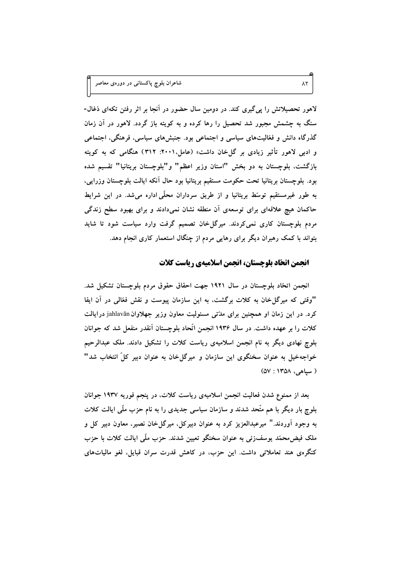شاعران بلوچ پاکستانی در دورهی معاصر

لاهور تحصیلاتش را پی گیری کند. در دومین سال حضور در آنجا بر اثر رفتن تکهای ذغال-سنگ به چشمش مجبور شد تحصیل را رها کرده و به کویته باز گردد. لاهور در آن زمان گذرگاه دانش و فعّالیتهای سیاسی و اجتماعی بود. جنبشهای سیاسی، فرهنگی، اجتماعی و ادبی لاهور تأثیر زیادی بر گل خان داشت» (عامل،۲۰۰۱: ۳۱۲) هنگامی که به کویته بازگشت، بلوچستان به دو بخش "استان وزیر اعظم" و"بلوچستان بریتانیا" تقسیم شده بود. بلوچستان بریتانیا تحت حکومت مستقیم بریتانیا بود حال آنکه ایالت بلوچستان وزرایی، به طور غیرمستقیم توسّط بریتانیا و از طریق سرداران محلّی اداره میشد. در این شرایط حاکمان هیچ علاقهای برای توسعهی آن منطقه نشان نمیدادند و برای بهبود سطح زندگی مردم بلوچستان کاری نمی کردند. میرگل خان تصمیم گرفت وارد سیاست شود تا شاید بتواند با کمک رهبران دیگر برای رهایی مردم از چنگال استعمار کاری انجام دهد.

#### انجمن اتحّاد بلوچستان، انجمن اسلامیهی ریاست کلات

انجمن اتحّاد بلوچستان در سال ۱۹۲۱ جهت احقاق حقوق مردم بلوچستان تشکیل شد. "وقتی که میرگل خان به کلات برگشت، به این سازمان پیوست و نقش فعّالی در آن ایفا کرد. در این زمان او همچنین برای مدّتی مسئولیت معاون وزیر جهلاوان jahlavān در ایالت کلات را بر عهده داشت. در سال ۱۹۳۶ انجمن اتّحاد بلوچستان آنقدر منفعل شد که جوانان بلوچ نهادی دیگر به نام انجمن اسلامیهی ریاست کلات را تشکیل دادند. ملک عبدالرحیم خواجهخیل به عنوان سخنگوی این سازمان و میرگل خان به عنوان دبیر کلِّ انتخاب شد" ( سياهي، ١٣٥٨ : ٥٧)

بعد از ممنوع شدن فعالیت انجمن اسلامیهی ریاست کلات، در پنجم فوریه ۱۹۳۷ جوانان بلوچ بار دیگر با هم متّحد شدند و سازمان سیاسی جدیدی را به نام حزب ملّی ایالت کلات به وجود آوردند." ميرعبدالعزيز كرد به عنوان دبيركل، ميرگل خان نصير، معاون دبير كل و ملک فیض محمّد پوسف(ئی به عنوان سخنگو تعیین شدند. حزب ملّی ایالت کلات با حزب کنگرهی هند تعاملاتی داشت. این حزب، در کاهش قدرت سران قبایل، لغو مالیاتهای

 $\wedge\Upsilon$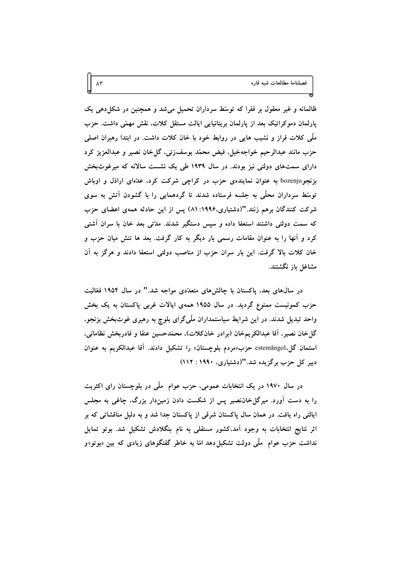ظالمانه و غیر معقول بر فقرا که توسّط سرداران تحمیل میشد و همچنین در شکل دهی یک پارلمان دموکراتیک بعد از پارلمان بریتانیایی ایالت مستقل کلات، نقش مهمّی داشت. حزب ملَّی کلات فراز و نشیب هایی در روابط خود با خان کلات داشت. در ابتدا رهبران اصلی حزب مانند عبدالرحيم خواجەخيل، فيض محمّد يوسفزئى، گلخان نصير و عبدالعزيز كرد دارای سمتهای دولتی نیز بودند. در سال ۱۹۳۹ طی یک نشست سالانه که میرغوثبخش بزنجو bozenju به عنوان نمایندهی حزب در کراچی شرکت کرد، عدّمای اراذل و اوباش توسّط سرداران محلّی به جلسه فرستاده شدند تا گردهمایی را با گشودن آتش به سوی شرکت کنندگان برهم زنند."(دشتیاری،۱۹۹۶: ۸۱) پس از این حادثه همهی اعضای حزب که سمت دولتی داشتند استعفا داده و سپس دستگیر شدند. مدّتی بعد خان با سران آشتی کرد و آنها را به عنوان مقامات رسمی بار دیگر به کار گرفت. بعد ها تنش میان حزب و خان کلات بالا گرفت. این بار سران حزب از مناصب دولتی استعفا دادند و هرگز به آن مشاغل باز نگشتند.

در سال های بعد، پاکستان با چالشهای متعدّدی مواجه شد." در سال ۱۹۵۴ فعّالیت حزب کمونیست ممنوع گردید. در سال ۱۹۵۵ همهی ایالات غربی پاکستان به یک بخش واحد تبدیل شدند. در این شرایط سیاستمداران ملّیگرای بلوچ به رهبری غوثبخش بزنجو، گلخان نصیر، أقا عبدالکریمخان (برادر خانکلات)، محمّدحسین عنقا و قادربخش نظامانی، استمان گل،estemāngol حزب «مردم بلوچستان» را تشکیل دادند. آقا عبدالکریم به عنوان دبیر کل حزب برگزیده شد. "(دشتیاری، ۱۹۹۰ : ۱۱۲)

در سال ۱۹۷۰ در یک انتخابات عمومی، حزب عوام ً ملَّی در بلوچستان رای اکثریت را به دست آورد. میرگل خاننصیر پس از شکست دادن زمیندار بزرگ، چاغی به مجلس ایالتی راه یافت. در همان سال پاکستان شرقی از پاکستان جدا شد و به دلیل مناقشاتی که بر اثر نتایج انتخابات به وجود آمد،کشور مستقلی به نام بنگلادش تشکیل شد. بوتو تمایل نداشت حزب عوام ً ملَّى دولت تشكيل دهد امَّا به خاطر گفتگوهاى زيادى كه بين «بوتو»و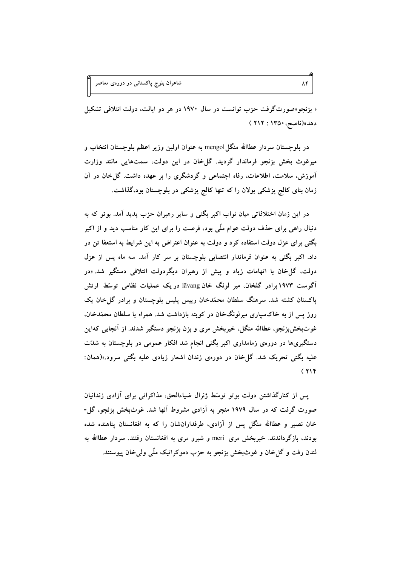شاعران بل*و*چ پاکستانی در دورهی معاصر

« بزنجو»صورتگرفت حزب توانست در سال ۱۹۷۰ در هر دو ایالت، دولت ائتلافی تشکیل دهد»(ناصح، ۱۳۵۰ : ۲۱۲ )

در بلوچستان سردار عطاالله منگلmengol به عنوان اولین وزیر اعظم بلوچستان انتخاب و میرغوث بخش بزنجو فرماندار گردید. گلخان در این دولت، سمتهایی مانند وزارت آموزش، سلامت، اطلاعات، رفاه اجتماعی و گردشگری را بر عهده داشت. گل خان در آن زمان بنای کالج پزشکی بولان را که تنها کالج پزشکی در بلوچستان بود،گذاشت.

در این زمان اختلافاتی میان نواب اکبر بگتی و سایر رهبران حزب پدید آمد. بوتو که به دنبال راهی برای حذف دولت عوام ملّی بود، فرصت را برای این کار مناسب دید و از اکبر بگتی برای عزل دولت استفاده کرد و دولت به عنوان اعتراض به این شرایط به استعفا تن در داد. اکبر بگتی به عنوان فرماندار انتصابی بلوچستان بر سر کار آمد. سه ماه پس از عزل دولت، گل خان با اتهامات زیاد و پیش از رهبران دیگردولت ائتلافی دستگیر شد. «در آگوست ۱۹۷۳ برادر گلخان. میر لونگ خان lāvang در یک عملیات نظامی توسّط ارتش پاکستان کشته شد. سرهنگ سلطان محمّدخان رییس پلیس بلوچستان و برادر گلخان یک روز پس از به خاکسپاری میرلونگخان در کویته بازداشت شد. همراه با سلطان محمّدخان. غوثبخشبزنجو، عطاالله منگل، خیربخش مری و بزن بزنجو دستگیر شدند. از آنجایی کهاین دستگیریها در دورهی زمامداری اکبر بگتی انجام شد افکار عمومی در بلوچستان به شدّت علیه بگتی تحریک شد. گل خان در دورهی زندان اشعار زیادی علیه بگتی سرود.»(همان:  $(114)$ 

پس از کنارگذاشتن دولت بوتو توسّط ژنرال ضیاءالحق، مذاکراتی برای آزادی زندانیان صورت گرفت که در سال ۱۹۷۹ منجر به آزادی مشروط آنها شد. غوثبخش بزنجو، گل-خان نصیر و عطاالله منگل پس از آزادی، طرفدارانشان را که به افغانستان پناهنده شده بودند، بازگرداندند. خیربخش مری meri و شیرو مری به افغانستان رفتند. سردار عطاالله به لندن رفت و گل خان و غوثبخش بزنجو به حزب دموکراتیک ملّی ولمی خان پیوستند.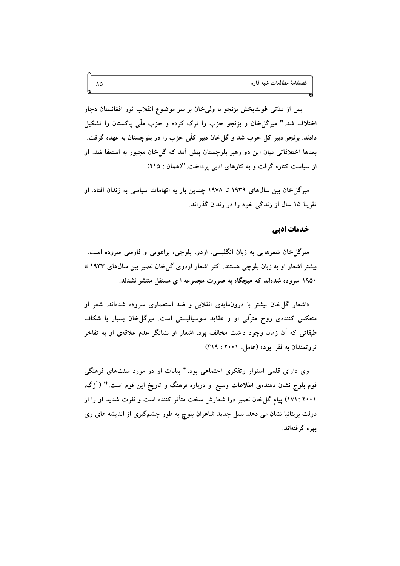پس از مدّتی غوثبخش بزنجو با ولی خان بر سر موضوع انقلاب ثور افغانستان دچار اختلاف شد." میرگل خان و بزنجو حزب را ترک کرده و حزب ملّمی پاکستان را تشکیل دادند. بزنجو دبیر کل حزب شد و گلءخان دبیر کلّی حزب را در بلوچستان به عهده گرفت. بعدها اختلافاتی میان این دو رهبر بلوچستان پیش آمد که گل خان مجبور به استعفا شد. او از سیاست کناره گرفت و به کارهای ادبی پرداخت. "(همان : ٢١٥)

میر گل خان بین سالهای ۱۹۳۹ تا ۱۹۷۸ چندین بار به اتهامات سیاسی به زندان افتاد. او تقریبا ۱۵ سال از زندگی خود را در زندان گذراند.

#### خدمات ادبي

میرگل خان شعرهایی به زبان انگلیسی، اردو، بلوچی، براهویی و فارسی سروده است. بیشتر اشعار او به زبان بلوچی هستند. اکثر اشعار اردوی گل خان نصیر بین سالهای ۱۹۳۳ تا ۱۹۵۰ سروده شدهاند که هیچگاه به صورت مجموعه ا ی مستقل منتشر نشدند.

«اشعار گل خان بیشتر با درون مایهی انقلابی و ضد استعماری سروده شدهاند. شعر او منعکس کنندهی روح مترَّقی او و عقاید سوسپالیستی است. میرگل خان بسیار با شکاف طبقاتی که آن زمان وجود داشت مخالف بود. اشعار او نشانگر عدم علاقهی او به تفاخر ثروتمندان به فقرا بود» (عامل، ۲۰۰۱ : ۴۱۹)

وی دارای قلمی استوار وتفکری احتماعی بود." بیانات او در مورد سنتهای فرهنگی قوم بلوچ نشان دهندهی اطلاعات وسیع او درباره فرهنگ و تاریخ این قوم است." (آزگ، ۲۰۰۱ : ۱۷۱) پیام گلخان نصیر درا شعارش سخت متأثر کننده است و نفرت شدید او را از دولت بریتانیا نشان می دهد. نسل جدید شاعران بلوچ به طور چشمگیری از اندیشه های وی ىھرە گرفتەاند.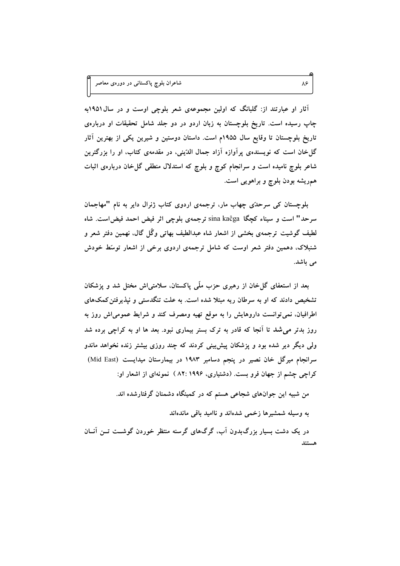آثار او عبارتند از: گلبانگ که اولین مجموعهی شعر بلوچی اوست و در سال1۹۵۱به چاپ رسیده است. تاریخ بلوچستان به زبان اردو در دو جلد شامل تحقیقات او دربارهی تاریخ بلوچستان تا وقایع سال ۱۹۵۵م است. داستان دوستین و شیرین یکی از بهترین آثار گلخان است که نویسندهی پرآوازه آزاد جمال الدّینی، در مقدمهی کتاب، او را بزرگترین شاعر بلوچ نامیده است و سرانجام کوچ و بلوچ که استدلال منطقی گل خان دربارهی اثبات همریشه بودن بلوچ و براهویی است.

بلوچستان کی سرحدٌی چهاب مار، ترجمهی اردوی کتاب ژنرال دایر به نام "مهاجمان سرحد" است و سیناء کچگا sina kaĉga ترجمهی بلوچی اثر فیض احمد فیض است. شاه لطیف گوشیت ترجمهی بخشی از اشعار شاه عبدالطیف بهاتی وگُل گال، نهمین دفتر شعر و شنبلاک، دهمین دفتر شعر اوست که شامل ترجمهی اردوی برخی از اشعار توسّط خودش می باشد.

بعد از استعفای گل خان از رهبری حزب ملّمی پاکستان، سلامتی!ش مختل شد و پزشکان تشخیص دادند که او به سرطان ریه مبتلا شده است. به علت تنگدستی و نیذیرفتن کمکهای اطرافیان، نمی توانست داروهایش را به موقع تهیه ومصرف کند و شرایط عمومیاش روز به روز بدتر می شد تا آنجا که قادر به ترک بستر بیماری نبود. بعد ها او به کراچی برده شد ولی دیگر دیر شده بود و پزشکان پیش بینی کردند که چند روزی بیشتر زنده نخواهد ماندو سرانجام میرگل خان نصیر در پنجم دسامبر ۱۹۸۳ در بیمارستان میدایست (Mid East) کراچی چشم از جهان فرو بست. (دشتیاری، ۱۹۹۶:۸۲ ) نمونهای از اشعار او:

من شبیه این جوانهای شجاعی هستم که در کمینگاه دشمنان گرفتارشده اند.

به وسیله شمشیرها زخمی شدهاند و ناامید باقی ماندهاند

در یک دشت بسیار بزرگ بدون آب، گرگهای گرسنه منتظر خوردن گوشــت تــن آنــان هستند

٨۶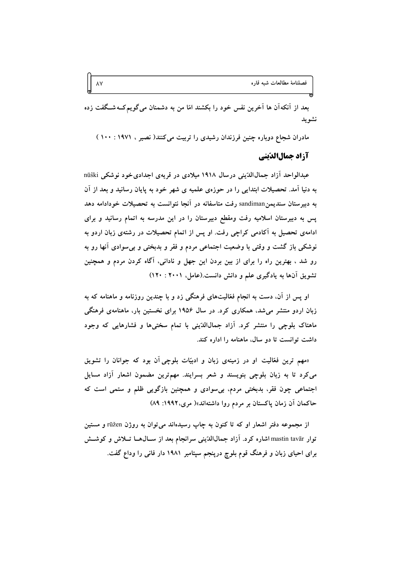بعد از آنکهآن ها آخرین نفس خود را بکشند امّا من به دشمنان میگویم کـهشـگفت زده نشويد

مادران شجاع دوباره چنین فرزندان رشیدی را تربیت می کنند( نصبر ، ۱۹۷۱ : ۱۰۰ )

### آزاد جمال الدّيني

عبدالواحد آزاد جمالاالدّيني درسال ۱۹۱۸ ميلادي در قريهي اجدادي خود نوشكي nūŝki به دنیا آمد. تحصیلات ابتدایی را در حوزهی علمیه ی شهر خود به پایان رسانید و بعد از آن به دبیرستان سندیمن sandiman رفت متاسفانه در آنجا نتوانست به تحصیلات خودادامه دهد پس به دبیرستان اسلامیه رفت ومقطع دبیرستان را در این مدرسه به اتمام رسانید و برای ادامهی تحصیل به آکادمی کراچی رفت. او پس از اتمام تحصیلات در رشتهی زبان اردو به نوشکی باز گشت و وقتی با وضعیت اجتماعی مردم و فقر و بدبختی و بی سوادی آنها رو به رو شد ، بهترین راه را برای از بین بردن این جهل و نادانی، آگاه کردن مردم و همچنین تشویق آنها به یادگیری علم و دانش دانست.(عامل، ۲۰۰۱ : ۱۲۰)

او پس از آن، دست به انجام فعّالیتهای فرهنگی زد و با چندین روزنامه و ماهنامه که به زبان اردو منتشر میشد، همکاری کرد. در سال ۱۹۵۶ برای نخستین بار، ماهنامهی فرهنگی ماهتاک بلوچی را منتشر کرد. آزاد جمالالدّینی با تمام سختیها و فشارهایی که وجود داشت توانست تا دو سال، ماهنامه را اداره کند.

«مهم ترین فعّالیت او در زمینهی زبان و ادبیّات بلوچی آن بود که جوانان را تشویق می کرد تا به زبان بلوچی بنویسند و شعر بسرایند. مهمترین مضمون اشعار آزاد مسایل اجتماعی چون فقر، بدبختی مردم، بی سوادی و همچنین بازگویی ظلم و ستمی است که حاکمان آن زمان پاکستان بر مردم روا داشتهاند»( مری، ۱۹۹۲: ۸۹)

از مجموعه دفتر اشعار او که تا کنون به چاپ رسیدهاند می توان به روژن rūžen و مستین توار mastin tavār اشاره کرد. آزاد جمال(لدّيني سرانجام بعد از سـالهـا تــلاش و کوشــش برای احیای زبان و فرهنگ قوم بلوچ درینجم سپتامبر ۱۹۸۱ دار فانی را وداع گفت.

 $\lambda\lambda$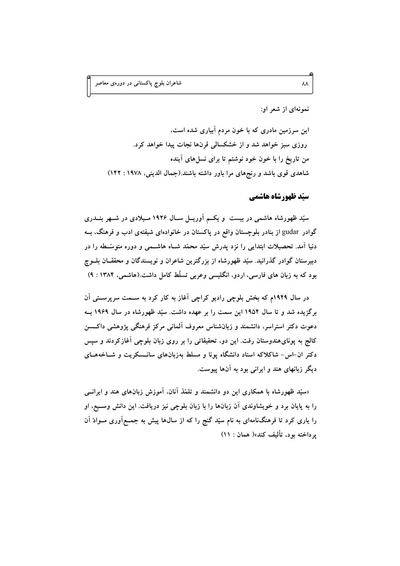نمونهای از شعر او:

این سرزمین مادری که با خون مردم آبیاری شده است. روزی سبز خواهد شد و از خشکسالی قرنها نجات پیدا خواهد کرد. من تاریخ را با خون خود نوشتم تا برای نسل های آینده شاهدی قوی باشد و رنجهای مرا باور داشته باشند.(جمال الدینی، ۱۹۷۸: ۱۴۲)

سیّد ظهورشاه هاشمی

سیّد ظهورشاه هاشمی در بیست ً و یکــم آوریــل ســال ۱۹۲۶ مــیلادی در شــهر بنــدری گوادر gudar از بنادر بلوچستان واقع در پاکستان در خانوادهای شیفتهی ادب و فرهنگ، بــه دنیا آمد. تحصیلات ابتدایی را نزد پدرش سیّد محمّد شــاه هاشــمی و دوره متوسّــطه را در دبیرستان گوادر گذرانید. سیّد ظهورشاه از بزرگترین شاعران و نویسندگان و محققــان بلــوچ بود که به زبان های فارسی، اردو، انگلیسی وعربی تسلّط کامل داشت.(هاشمی، ۱۳۸۴ : ۹)

در سال ۱۹۴۹م که بخش بلوچی رادیو کراچی آغاز به کار کرد به ســمت سرپرســتی آن برگزیده شد و تا سال ۱۹۵۴ این سمت را بر عهده داشت. سبّد ظهورشاه در سال ۱۹۶۹ بــه دعوت دکتر استراسر، دانشمند و زبانشناس معروف آلمانی مرکز فرهنگی پژوهشی داکسین کالج به پونای هندوستان رفت. این دو، تحقیقاتی را بر روی زبان بلوچی آغازکردند و سپس دکتر ان-اس- شاکلاکه استاد دانشگاه پونا و مسلط بهزبانهای سانـسکریت و شــاخههــای دیگر زبانهای هند و ایرانی بود به آنها پیوست.

«سیّد ظهورشاه با همکاری این دو دانشمند و تلمّذ آنان، آموزش زبانهای هند و ایرانسی را به پایان برد و خویشاوندی آن زبانها را با زبان بلوچی نیز دریافت. این دانش وسـیع، او را یاری کرد تا فرهنگنامهای به نام سیّد گنج را که از سالها پیش به جمــع|وری مــوادّ آن ير داخته بود، تأليف كند»( همان : ١١)

 $\lambda\lambda$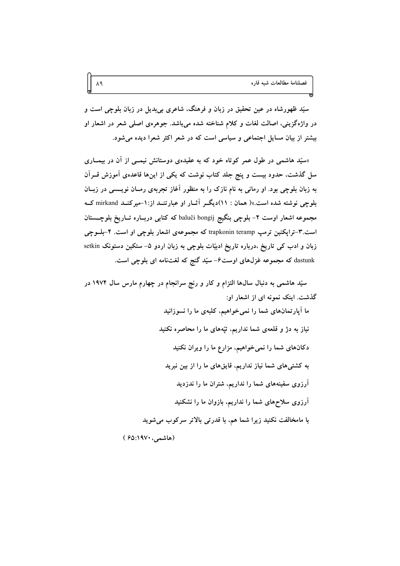سیّد ظهورشاه در عین تحقیق در زبان و فرهنگ، شاعری بیبدیل در زبان بلوچی است و در واژهگزینی، اصالت لغات و کلام شناخته شده میباشد. جوهرهی اصلی شعر در اشعار او بیشتر از بیان مسایل اجتماعی و سیاسی است که در شعر اکثر شعرا دیده می شود.

«سیّد هاشمی در طول عمر کوتاه خود که به عقیدهی دوستانش نیمــی از آن در بیمــاری سل گذشت، حدود بیست و پنج جلد کتاب نوشت که یکی از اینها قاعدهی آموزش قــرآن به زبان بلوچی بود. او رمانی به نام نازک را به منظور آغاز تجربهی رمـان نویــسی در زبــان بلوچی نوشته شده است.»( همان : ۱۱)دیگر آثـار او عبارتنـد از:۱-میرکنـد mirkand کـه مجموعه اشعار اوست ۲- بلوچی بنگیج baluĉi bongij که کتابی دربـاره تـاریخ بلوچــستان است.۳-ترایکنین ترمپ trapkonin teramp که مجموعهی اشعار بلوچی او است. ۴-بلــوچی زبان و ادب کی تاریخ ،درباره تاریخ ادبیّات بلوچی به زبان اردو ۵– ستکین دستونک setkin dastunk که مجموعه غزلهای اوست۶- سیّد گنج که لغتنامه ای بلوچی است.

سیّد هاشمی به دنبال سالها التزام و کار و رنج سرانجام در چهارم مارس سال ۱۹۷۴ در گذشت. اینک نمونه ای از اشعار او:

> ما آپارتمانهای شما را نمی خواهیم، کلبهی ما را نسوزانید نیاز به دژ و قلعهی شما نداریم، تپّههای ما را محاصره نکنید دکانهای شما را نمی خواهیم، مزارع ما را ویران نکنید به کشتیهای شما نیاز نداریم، قایقهای ما را از بین نبرید آرزوی سفینههای شما را نداریم، شتران ما را ندزدید آرزوی سلاحهای شما را نداریم، بازوان ما را نشکنید با مامخالفت نکنید زیرا شما هم، با قدرتی بالاتر سرکوب می شوید

(هاشمې، ۱۹۷۰:۶۵)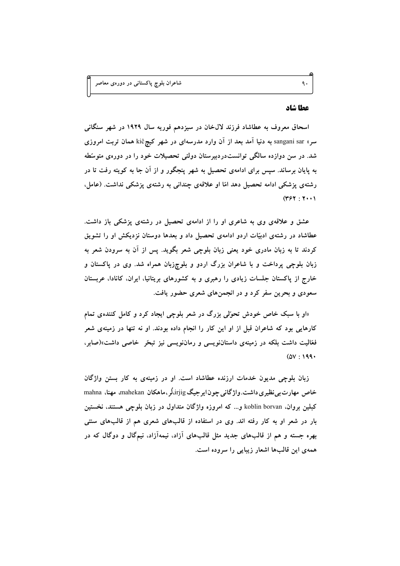#### عطا شاد

اسحاق معروف به عطاشاد فرزند لال خان در سیزدهم فوریه سال ۱۹۲۹ در شهر سنگانی سر» sangani sar به دنیا آمد بعد از آن وارد مدرسهای در شهر کیچkiĉ همان تربت امروزی شد. در سن دوازده سالگی توانستدردبیرستان دولتی تحصیلات خود را در دورهی متوسّطه به پایان برساند. سپس برای ادامهی تحصیل به شهر پنجگور و از آن جا به کویته رفت تا در رشتهی پزشکی ادامه تحصیل دهد امّا او علاقهی چندانی به رشتهی پزشکی نداشت. (عامل،  $(YY; Y; Y)$ 

عشق و علاقهی وی به شاعری او را از ادامهی تحصیل در رشتهی پزشکی باز داشت. عطاشاد در رشتهی ادبیّات اردو ادامهی تحصیل داد و بعدها دوستان نزدیکش او را تشویق کردند تا به زبان مادری خود یعنی زبان بلوچی شعر بگوید. پس از آن به سرودن شعر به زبان بلوچی پرداخت و با شاعران بزرگ اردو و بلوچزبان همراه شد. وی در پاکستان و خارج از پاکستان جلسات زیادی را رهبری و به کشورهای بریتانیا، ایران، کانادا، عربستان سعودی و بحرین سفر کرد و در انجمنهای شعری حضور یافت.

«او با سبک خاص خودش تحوّلی بزرگ در شعر بلوچی ایجاد کرد و کامل کنندهی تمام کارهایی بود که شاعران قبل از او این کار را انجام داده بودند. او نه تنها در زمینهی شعر فعّالیت داشت بلکه در زمینهی داستاننویسی و رماننویسی نیز تبحّر خاصی داشت»(صابر،  $(0V:199)$ 

زبان بلوچی مدیون خدمات ارزنده عطاشاد است. او در زمینهی به کار بستن واژگان خاص مهارت بی نظیری داشت. واژگانی چون ایرجیگ irjig،لُر ،ماهکان mahekan، مهنا، mahna کبلین بروان. koblin borvan و... که امروزه واژگان متداول در زبان بلوچی هستند، نخستین بار در شعر او به کار رفته اند. وی در استفاده از قالبهای شعری هم از قالبهای سنتی بهره جسته و هم از قالبهای جدید مثل قالبهای آزاد، نیمهآزاد، نیمگال و دوگال که در همهی این قالبها اشعار زیبایی را سروده است.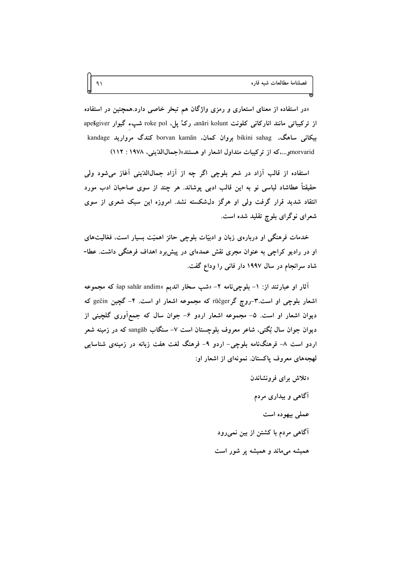«در استفاده از معنای استعاری و رمزی واژگان هم تبحّر خاصی دارد.همچنین در استفاده از ترکیباتی مانند انارکانی کلونت anāri kolunt، رکٌ پل، roke pol شپء گیوار apešgiver بیکانی ساهگ، bikini sahag بروان کمان، borvan kamān کندگ مروارید kandage morvaridو...،که از ترکیبات متداول اشعار او هستند»(جمالاالدّینی، ۱۹۷۸: ۱۱۲)

استفاده از قالب آزاد در شعر بلوچی اگر چه از آزاد جمالالله پنی آغاز می شود ولی حقيقتاً عطاشاد لباسي نو به اين قالب ادبي پوشاند. هر چند از سوی صاحبان ادب مورد انتقاد شدید قرار گرفت ولی او هرگز دل\$شکسته نشد. امروزه این سبک شعری از سوی شعرای نوگرای بلوچ تقلید شده است.

خدمات فرهنگی او دربارهی زبان و ادبیّات بلوچی حائز اهمیّت بسیار است، فعّالیتهای او در رادیو کراچی به عنوان مجری نقش عمدهای در پیش برد اهداف فرهنگی داشت. عطا-شاد سرانجام در سال ۱۹۹۷ دار فانی را وداع گفت.

آثار او عبارتند از: ۱− بلوچینامه ۲− «شپ سخّار اندیم »ŝap sahār andim که مجموعه اشعار بلوچی او است.۳-روچ گر rūĉger که مجموعه اشعار او است. ۴- گچین geĉin که دیوان اشعار او است. ۵- مجموعه اشعار اردو ۶- جوان سال که جمع|َوری گلچینی از دیوان جوان سال بُگتی، شاعر معروف بلوچستان است ۷– سنگاب sangāb که در زمینه شعر اردو است ۸– فرهنگنامه بلوچی– اردو ۹– فرهنگ لغت هفت زبانه در زمینهی شناسایی لهجههای معروف پاکستان. نمونهای از اشعار او:

> «تلاش برای فرونشاندن آگاهی و بیداری مردم عملي بيهوده است آگاهی مردم با کشتن از بین نمیرود همیشه میماند و همیشه پر شور است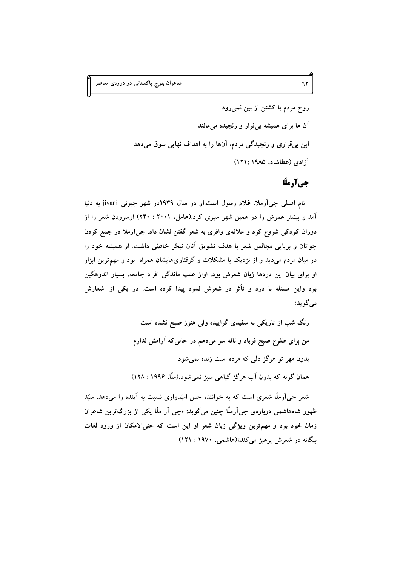روح مردم با کشتن از بین نمی رود آن ها برای همیشه بیقرار و رنجیده میمانند این بی قراری و رنجیدگی مردم، آنها را به اهداف نهایی سوق می دهد آزادی (عطاشاد، ۱۹۸۵: ۱۲۱)

# جيآرملّا

نام اصلي جي آرملا، غلام رسول است.او در سال ۱۹۳۹در شهر جيوني jivani به دنيا آمد و بیشتر عمرش را در همین شهر سپری کرد.(عامل، ۲۰۰۱ : ۲۴۰) اوسرودن شعر را از دوران کودکی شروع کرد و علاقهی وافری به شعر گفتن نشان داد. جی آرملا در جمع کردن جوانان و برپایی مجالس شعر با هدف تشویق آنان تبحّر خاصّی داشت. او همیشه خود را در میان مردم میدید و از نزدیک با مشکلات و گرفتاریهایشان همراه بود و مهمترین ابزار او برای بیان این دردها زبان شعرش بود. اواز عقب ماندگی افراد جامعه، بسیار اندوهگین بود واین مسئله با درد و تأثر در شعرش نمود پیدا کرده است. در یکی از اشعارش مي گويد:

> رنگ شب از تاریکی به سفیدی گراییده ولی هنوز صبح نشده است من برای طلوع صبح فریاد و ناله سر میدهم در حالی که آرامش ندارم بدون مهر تو هرگز دلی که مرده است زنده نمی شود همان گونه که بدون آب هرگز گیاهی سبز نمی شود.(ملّا، ۱۹۹۶ : ۱۲۸)

شعر جی آرملّا شعری است که به خواننده حس امیّدواری نسبت به آینده را میٖدهد. سیّد ظهور شاههاشمی دربارهی جی اَرملّا چنین میگوید: «جی اَر ملّا یکی از بزرگترین شاعران زمان خود بود و مهمترین ویژگی زبان شعر او این است که حتیالامکان از ورود لغات بیگانه در شعرش پرهیز می کند»(هاشمی، ۱۹۷۰ : ۱۲۱)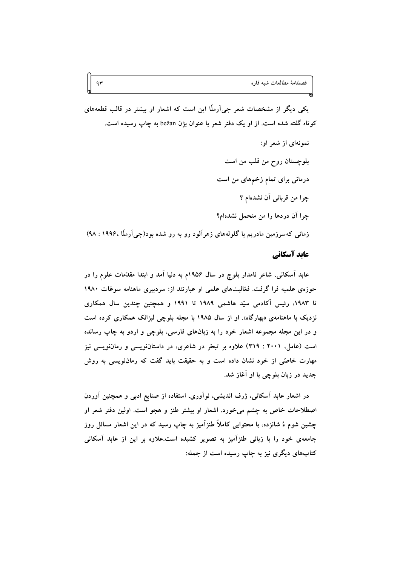یکم ِ دیگر از مشخصات شعر جی آرملّا این است که اشعار او بیشتر در قالب قطعههای کوتاه گفته شده است. از او یک دفتر شعر با عنوان بژن bežan به چاپ رسیده است.

نمونهای از شعر او: بلوچستان روح من قلب من است درمانی برای تمام زخمهای من است جرا من قربانی آن نشدهام ؟ چرا آن دردها را من متحمل نشدهام؟ زمانی که سرزمین مادریم با گلولههای زهرآلود رو به رو شده بود(جی آرملّا ،۱۹۹۶ : ۹۸)

#### عايد آسكاني

عابد آسکانی، شاعر نامدار بلوچ در سال ۱۹۵۶م به دنیا آمد و ابتدا مقدّمات علوم را در حوزهی علمیه فرا گرفت. فعّالیتهای علمی او عبارتند از: سردبیری ماهنامه سوغات ۱۹۸۰ تا ۱۹۸۳، رئیس آکادمی سیّد هاشمی ۱۹۸۹ تا ۱۹۹۱ و همچنین چندین سال همکاری نزدیک با ماهنامهی «بهارگاه». او از سال ۱۹۸۵ با مجله بلوچی لبزانک همکاری کرده است و در این مجله مجموعه اشعار خود را به زبانهای فارسی، بلوچی و اردو به چاپ رسانده است (عامل، ۲۰۰۱ : ۳۱۹) علاوه بر تبحّر در شاعری، در داستاننویسی و رماننویسی نیز مهارت خاصّی از خود نشان داده است و به حقیقت باید گفت که رماننویسی به روش جدید در زبان بلوچی با او آغاز شد.

در اشعار عابد آسکانی، ژرف اندیشی، نوآوری، استفاده از صنایع ادبی و همچنین آوردن اصطلاحات خاص به چشم میخورد. اشعار او بیشتر طنز و هجو است. اولین دفتر شعر او چشین شوم ءُ شانزده، با محتوایی کاملاً طنزآمیز به چاپ رسید که در این اشعار مسائل روز جامعهی خود را با زبانی طنزآمیز به تصویر کشیده است.علاوه بر این از عابد آسکانی کتابهای دیگری نیز به چاپ رسیده است از جمله: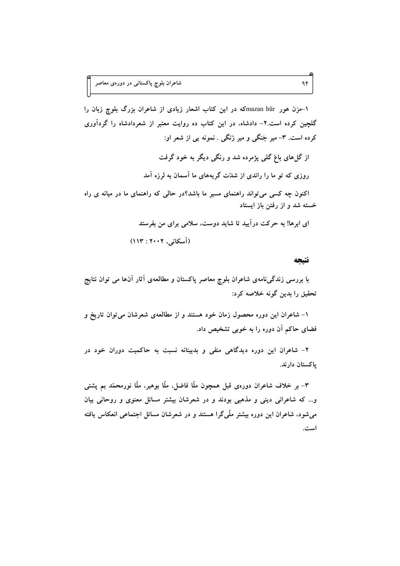۱-مزن هور mazan hūrشه در این کتاب اشعار زیادی از شاعران بزرگ بلوچ زبان را گلچین کرده است.۲- دادشاه، در این کتاب ده روایت معتبر از شعردادشاه را گردآوری کرده است. ۳- میر جَنگی و میر زَنگی . نمونه یی از شعر او: از گل های باغ گلی پژمرده شد و رنگی دیگر به خود گرفت روزی که تو ما را راندی از شدّت گریههای ما آسمان به لرزه آمد اکنون چه کسی می تواند راهنمای مسیر ما باشد؟در حالی که راهنمای ما در میانه ی راه خسته شد و از رفتن باز ایستاد ای ابرها! به حرکت درآیید تا شاید دوست، سلامی برای من بفرستد

(آسكانى، ٢٠٠٢: ١١٣)

#### نتيجه

با بررسی زندگی،نامهی شاعران بلوچ معاصر پاکستان و مطالعهی آثار آنها می توان نتایج تحقيق را بدين گونه خلاصه كرد:

۱– شاعران این دوره محصول زمان خود هستند و از مطالعهی شعرشان می توان تاریخ و فضای حاکم آن دوره را به خوبی تشخیص داد.

۲- شاعران این دوره دیدگاهی منفی و بدبینانه نسبت به حاکمیت دوران خود در ياكستان دارند.

٣- بر خلاف شاعران دورەي قبل همچون ملًّا فاضل، ملًّا بوهير، ملًّا نورمحمَّد بم يشتى و... که شاعرانی دینی و مذهبی بودند و در شعرشان بیشتر مسائل معنوی و روحانی بیان میشود، شاعران این دوره بیشتر ملّمیگرا هستند و در شعرشان مسائل اجتماعی انعکاس یافته است.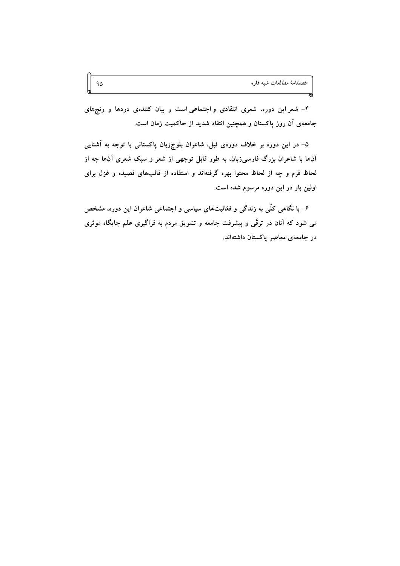۴- شعر این دوره، شعری انتقادی و اجتماعی است و بیان کنندهی دردها و رنجهای جامعهی آن روز پاکستان و همچنین انتقاد شدید از حاکمیت زمان است.

۵– در این دوره بر خلاف دورهی قبل، شاعران بلوچزبان پاکستانی با توجه به آشنایی آنها با شاعران بزرگ فارسیزبان، به طور قابل توجهی از شعر و سبک شعری آنها چه از لحاظ فرم و چه از لحاظ محتوا بهره گرفتهاند و استفاده از قالبهای قصیده و غزل برای اولین بار در این دوره مرسوم شده است.

۶- با نگاهی کلّی به زندگی و فعّالیتهای سیاسی و اجتماعی شاعران این دوره، مشخص می شود که آنان در ترقّی و پیشرفت جامعه و تشویق مردم به فراگیری علم جایگاه موثری در جامعهی معاصر پاکستان داشتهاند.